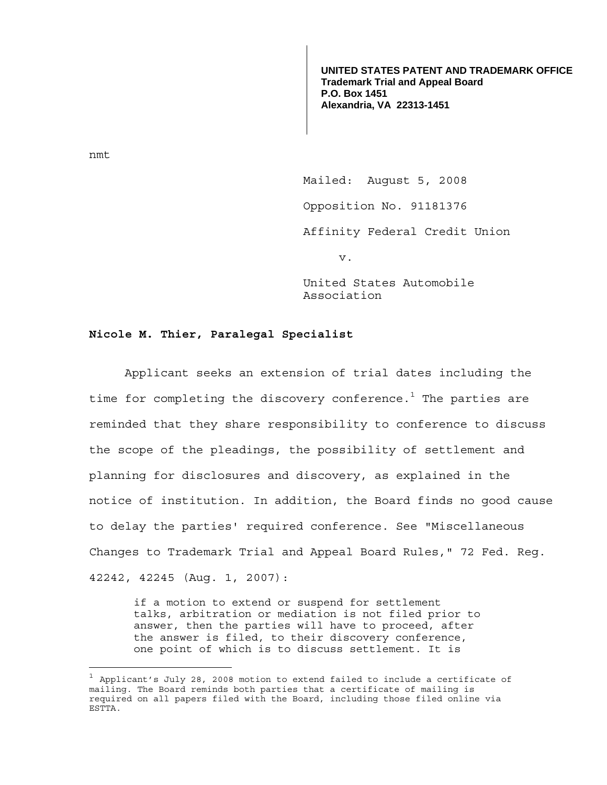**UNITED STATES PATENT AND TRADEMARK OFFICE Trademark Trial and Appeal Board P.O. Box 1451 Alexandria, VA 22313-1451**

nmt

 Mailed: August 5, 2008 Opposition No. 91181376 Affinity Federal Credit Union v.

> United States Automobile Association

## **Nicole M. Thier, Paralegal Specialist**

 Applicant seeks an extension of trial dates including the time for completing the discovery conference. $^{\rm 1}$  The parties are reminded that they share responsibility to conference to discuss the scope of the pleadings, the possibility of settlement and planning for disclosures and discovery, as explained in the notice of institution. In addition, the Board finds no good cause to delay the parties' required conference. See "Miscellaneous Changes to Trademark Trial and Appeal Board Rules," 72 Fed. Reg. 42242, 42245 (Aug. 1, 2007):

if a motion to extend or suspend for settlement talks, arbitration or mediation is not filed prior to answer, then the parties will have to proceed, after the answer is filed, to their discovery conference, one point of which is to discuss settlement. It is

 $^1$  Applicant's July 28, 2008 motion to extend failed to include a certificate of mailing. The Board reminds both parties that a certificate of mailing is required on all papers filed with the Board, including those filed online via ESTTA.